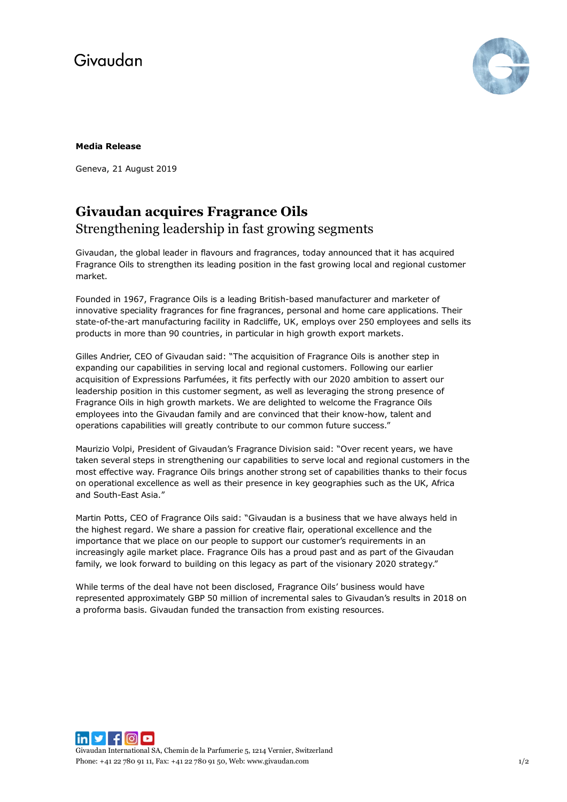# Givaudan



### **Media Release**

Geneva, 21 August 2019

### **Givaudan acquires Fragrance Oils** Strengthening leadership in fast growing segments

Givaudan, the global leader in flavours and fragrances, today announced that it has acquired Fragrance Oils to strengthen its leading position in the fast growing local and regional customer market.

Founded in 1967, Fragrance Oils is a leading British-based manufacturer and marketer of innovative speciality fragrances for fine fragrances, personal and home care applications. Their state-of-the-art manufacturing facility in Radcliffe, UK, employs over 250 employees and sells its products in more than 90 countries, in particular in high growth export markets.

Gilles Andrier, CEO of Givaudan said: "The acquisition of Fragrance Oils is another step in expanding our capabilities in serving local and regional customers. Following our earlier acquisition of Expressions Parfumées, it fits perfectly with our 2020 ambition to assert our leadership position in this customer segment, as well as leveraging the strong presence of Fragrance Oils in high growth markets. We are delighted to welcome the Fragrance Oils employees into the Givaudan family and are convinced that their know-how, talent and operations capabilities will greatly contribute to our common future success."

Maurizio Volpi, President of Givaudan's Fragrance Division said: "Over recent years, we have taken several steps in strengthening our capabilities to serve local and regional customers in the most effective way. Fragrance Oils brings another strong set of capabilities thanks to their focus on operational excellence as well as their presence in key geographies such as the UK, Africa and South-East Asia."

Martin Potts, CEO of Fragrance Oils said: "Givaudan is a business that we have always held in the highest regard. We share a passion for creative flair, operational excellence and the importance that we place on our people to support our customer's requirements in an increasingly agile market place. Fragrance Oils has a proud past and as part of the Givaudan family, we look forward to building on this legacy as part of the visionary 2020 strategy."

While terms of the deal have not been disclosed, Fragrance Oils' business would have represented approximately GBP 50 million of incremental sales to Givaudan's results in 2018 on a proforma basis. Givaudan funded the transaction from existing resources.

 $\ln |y|$  for Givaudan International SA, Chemin de la Parfumerie 5, 1214 Vernier, Switzerland Phone: +41 22 780 91 11, Fax: +41 22 780 91 50, Web[: www.givaudan.com](http://www.givaudan.com/) 1/2